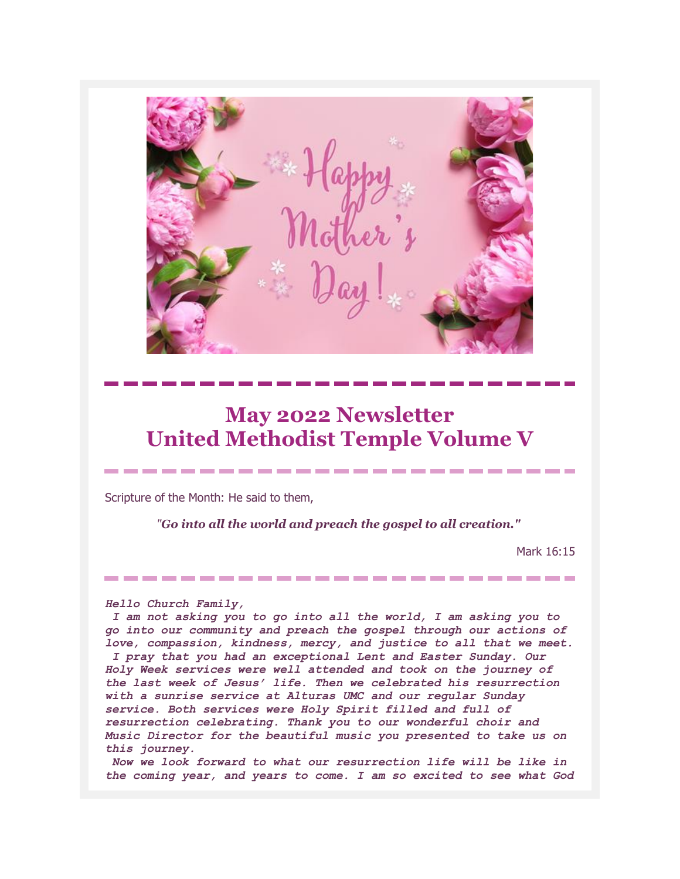# **May 2022 Newsletter United Methodist Temple Volume V**

-------------------------

Scripture of the Month: He said to them,

*"Go into all the world and preach the gospel to all creation."*

-------------------------

Mark 16:15

#### *Hello Church Family,*

*I am not asking you to go into all the world, I am asking you to go into our community and preach the gospel through our actions of love, compassion, kindness, mercy, and justice to all that we meet. I pray that you had an exceptional Lent and Easter Sunday. Our Holy Week services were well attended and took on the journey of the last week of Jesus' life. Then we celebrated his resurrection with a sunrise service at Alturas UMC and our regular Sunday service. Both services were Holy Spirit filled and full of resurrection celebrating. Thank you to our wonderful choir and Music Director for the beautiful music you presented to take us on this journey.*

*Now we look forward to what our resurrection life will be like in the coming year, and years to come. I am so excited to see what God*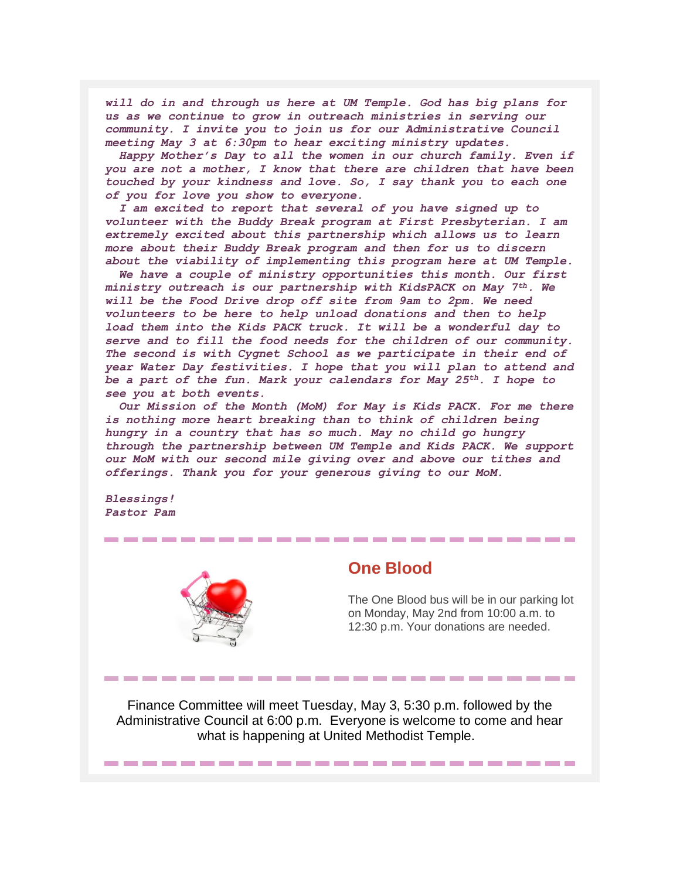*will do in and through us here at UM Temple. God has big plans for us as we continue to grow in outreach ministries in serving our community. I invite you to join us for our Administrative Council meeting May 3 at 6:30pm to hear exciting ministry updates.*

 *Happy Mother's Day to all the women in our church family. Even if you are not a mother, I know that there are children that have been touched by your kindness and love. So, I say thank you to each one of you for love you show to everyone.*

 *I am excited to report that several of you have signed up to volunteer with the Buddy Break program at First Presbyterian. I am extremely excited about this partnership which allows us to learn more about their Buddy Break program and then for us to discern about the viability of implementing this program here at UM Temple.*

 *We have a couple of ministry opportunities this month. Our first ministry outreach is our partnership with KidsPACK on May 7th. We will be the Food Drive drop off site from 9am to 2pm. We need volunteers to be here to help unload donations and then to help load them into the Kids PACK truck. It will be a wonderful day to serve and to fill the food needs for the children of our community. The second is with Cygnet School as we participate in their end of year Water Day festivities. I hope that you will plan to attend and be a part of the fun. Mark your calendars for May 25th. I hope to see you at both events.*

 *Our Mission of the Month (MoM) for May is Kids PACK. For me there is nothing more heart breaking than to think of children being hungry in a country that has so much. May no child go hungry through the partnership between UM Temple and Kids PACK. We support our MoM with our second mile giving over and above our tithes and offerings. Thank you for your generous giving to our MoM.*

*Blessings! Pastor Pam*



### **One Blood**

The One Blood bus will be in our parking lot on Monday, May 2nd from 10:00 a.m. to 12:30 p.m. Your donations are needed.

Finance Committee will meet Tuesday, May 3, 5:30 p.m. followed by the Administrative Council at 6:00 p.m. Everyone is welcome to come and hear what is happening at United Methodist Temple.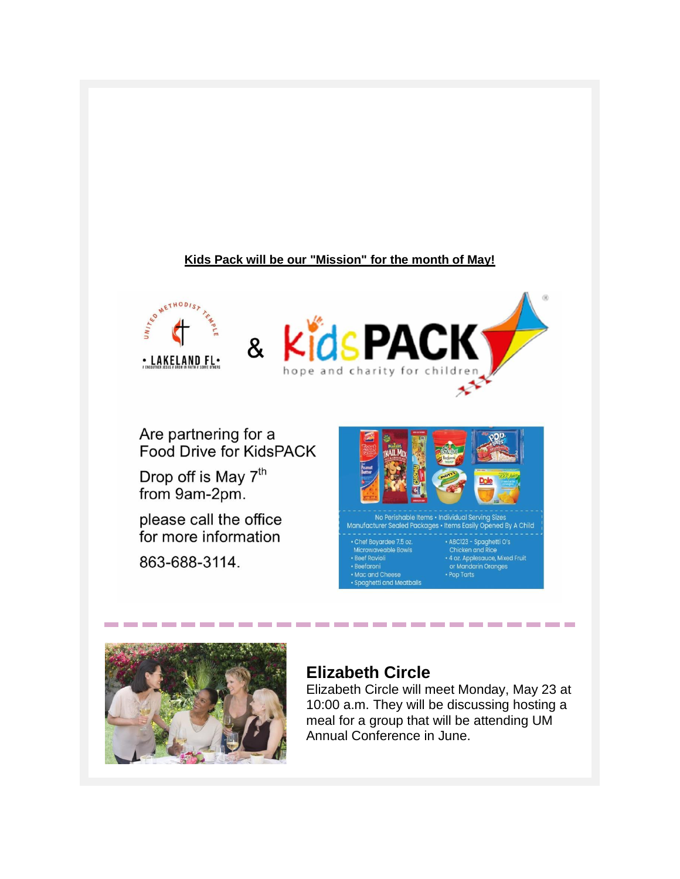#### **Kids Pack will be our "Mission" for the month of May!**



Are partnering for a Food Drive for KidsPACK

Drop off is May 7<sup>th</sup> from 9am-2pm.

please call the office for more information

863-688-3114.



Chicken and Rice<br>
+ 4 oz. Applesauce, Mixed Fruit<br>
or Mandarin Oranges



## **Elizabeth Circle**

------------------------

**Beefaroni** 

Spaghetti and Meatballs

Elizabeth Circle will meet Monday, May 23 at 10:00 a.m. They will be discussing hosting a meal for a group that will be attending UM Annual Conference in June.